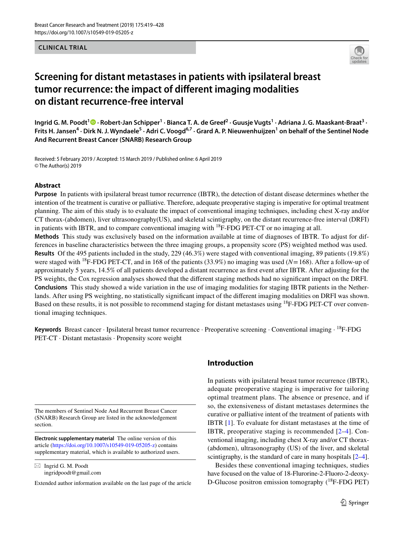#### **CLINICAL TRIAL**



# **Screening for distant metastases in patients with ipsilateral breast tumor recurrence: the impact of diferent imaging modalities on distant recurrence-free interval**

IngridG. M. Poodt <sup>1</sup>  $\bullet$  · Robert-Jan Schipper  $^1$  · Bianca T. A. de Greef  $^2$  · Guusje Vugts  $^1$  · Adriana J. G. Maaskant-Braat  $^3$  · Frits H. Jansen<sup>4</sup> · Dirk N. J. Wyndaele<sup>5</sup> · Adri C. Voogd<sup>6,7</sup> · Grard A. P. Nieuwenhuijzen<sup>1</sup> on behalf of the Sentinel Node **And Recurrent Breast Cancer (SNARB) Research Group**

Received: 5 February 2019 / Accepted: 15 March 2019 / Published online: 6 April 2019 © The Author(s) 2019

#### **Abstract**

**Purpose** In patients with ipsilateral breast tumor recurrence (IBTR), the detection of distant disease determines whether the intention of the treatment is curative or palliative. Therefore, adequate preoperative staging is imperative for optimal treatment planning. The aim of this study is to evaluate the impact of conventional imaging techniques, including chest X-ray and/or CT thorax-(abdomen), liver ultrasonography(US), and skeletal scintigraphy, on the distant recurrence-free interval (DRFI) in patients with IBTR, and to compare conventional imaging with  ${}^{18}F$ -FDG PET-CT or no imaging at all.

**Methods** This study was exclusively based on the information available at time of diagnoses of IBTR. To adjust for differences in baseline characteristics between the three imaging groups, a propensity score (PS) weighted method was used. **Results** Of the 495 patients included in the study, 229 (46.3%) were staged with conventional imaging, 89 patients (19.8%) were staged with 18F-FDG PET-CT, and in 168 of the patients (33.9%) no imaging was used (*N*=168). After a follow-up of approximately 5 years, 14.5% of all patients developed a distant recurrence as frst event after IBTR. After adjusting for the PS weights, the Cox regression analyses showed that the diferent staging methods had no signifcant impact on the DRFI. **Conclusions** This study showed a wide variation in the use of imaging modalities for staging IBTR patients in the Netherlands. After using PS weighting, no statistically signifcant impact of the diferent imaging modalities on DRFI was shown. Based on these results, it is not possible to recommend staging for distant metastases using <sup>18</sup>F-FDG PET-CT over conventional imaging techniques.

**Keywords** Breast cancer · Ipsilateral breast tumor recurrence · Preoperative screening · Conventional imaging · 18F-FDG PET-CT · Distant metastasis · Propensity score weight

The members of Sentinel Node And Recurrent Breast Cancer (SNARB) Research Group are listed in the acknowledgement section.

**Electronic supplementary material** The online version of this article [\(https://doi.org/10.1007/s10549-019-05205-z](https://doi.org/10.1007/s10549-019-05205-z)) contains supplementary material, which is available to authorized users.

 $\boxtimes$  Ingrid G. M. Poodt ingridpoodt@gmail.com

Extended author information available on the last page of the article

## **Introduction**

In patients with ipsilateral breast tumor recurrence (IBTR), adequate preoperative staging is imperative for tailoring optimal treatment plans. The absence or presence, and if so, the extensiveness of distant metastases determines the curative or palliative intent of the treatment of patients with IBTR [\[1](#page-7-0)]. To evaluate for distant metastases at the time of IBTR, preoperative staging is recommended [[2](#page-7-1)[–4](#page-7-2)]. Conventional imaging, including chest X-ray and/or CT thorax- (abdomen), ultrasonography (US) of the liver, and skeletal scintigraphy, is the standard of care in many hospitals  $[2-4]$  $[2-4]$ .

Besides these conventional imaging techniques, studies have focused on the value of 18-Flurorine-2-Fluoro-2-deoxy-D-Glucose positron emission tomography  $(^{18}F\text{-FDG PET})$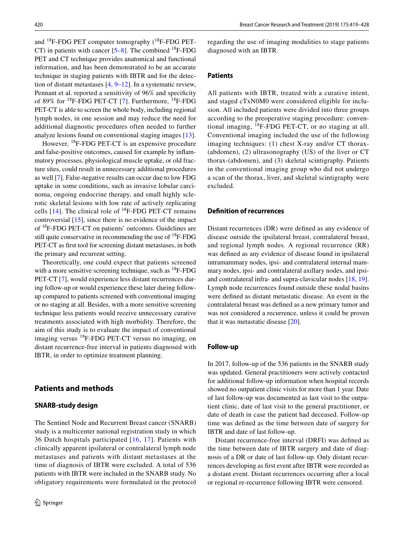and  $^{18}$ F-FDG PET computer tomography ( $^{18}$ F-FDG PET-CT) in patients with cancer  $[5-8]$  $[5-8]$ . The combined <sup>18</sup>F-FDG PET and CT technique provides anatomical and functional information, and has been demonstrated to be an accurate technique in staging patients with IBTR and for the detection of distant metastases [[4,](#page-7-2) [9–](#page-8-1)[12\]](#page-8-2). In a systematic review, Pennant et al. reported a sensitivity of 96% and specificity of 89% for 18F-FDG PET-CT [[7](#page-8-3)]. Furthermore, 18F-FDG PET-CT is able to screen the whole body, including regional lymph nodes, in one session and may reduce the need for additional diagnostic procedures often needed to further analyze lesions found on conventional staging images [[13](#page-8-4)].

However, 18F-FDG PET-CT is an expensive procedure and false-positive outcomes, caused for example by infammatory processes, physiological muscle uptake, or old fracture sites, could result in unnecessary additional procedures as well [\[7](#page-8-3)]. False-negative results can occur due to low FDG uptake in some conditions, such as invasive lobular carcinoma, ongoing endocrine therapy, and small highly sclerotic skeletal lesions with low rate of actively replicating cells  $[14]$  $[14]$ . The clinical role of  $^{18}$ F-FDG PET-CT remains controversial [\[15\]](#page-8-6), since there is no evidence of the impact of 18F-FDG PET-CT on patients' outcomes. Guidelines are still quite conservative in recommending the use of 18F-FDG PET-CT as frst tool for screening distant metastases, in both the primary and recurrent setting.

Theoretically, one could expect that patients screened with a more sensitive screening technique, such as  ${}^{18}F$ -FDG PET-CT [\[7\]](#page-8-3), would experience less distant recurrences during follow-up or would experience these later during followup compared to patients screened with conventional imaging or no staging at all. Besides, with a more sensitive screening technique less patients would receive unnecessary curative treatments associated with high morbidity. Therefore, the aim of this study is to evaluate the impact of conventional imaging versus 18F-FDG PET-CT versus no imaging, on distant recurrence-free interval in patients diagnosed with IBTR, in order to optimize treatment planning.

# **Patients and methods**

#### **SNARB‑study design**

The Sentinel Node and Recurrent Breast cancer (SNARB) study is a multicenter national registration study in which 36 Dutch hospitals participated [[16,](#page-8-7) [17\]](#page-8-8). Patients with clinically apparent ipsilateral or contralateral lymph node metastases and patients with distant metastases at the time of diagnosis of IBTR were excluded. A total of 536 patients with IBTR were included in the SNARB study. No obligatory requirements were formulated in the protocol regarding the use of imaging modalities to stage patients diagnosed with an IBTR.

#### **Patients**

All patients with IBTR, treated with a curative intent, and staged cTxN0M0 were considered eligible for inclusion. All included patients were divided into three groups according to the preoperative staging procedure: conventional imaging, 18F-FDG PET-CT, or no staging at all. Conventional imaging included the use of the following imaging techniques: (1) chest X-ray and/or CT thorax- (abdomen), (2) ultrasonography (US) of the liver or CT thorax-(abdomen), and (3) skeletal scintigraphy. Patients in the conventional imaging group who did not undergo a scan of the thorax, liver, and skeletal scintigraphy were excluded.

## **Defnition of recurrences**

Distant recurrences (DR) were defned as any evidence of disease outside the ipsilateral breast, contralateral breast, and regional lymph nodes. A regional recurrence (RR) was defned as any evidence of disease found in ipsilateral intramammary nodes, ipsi- and contralateral internal mammary nodes, ipsi- and contralateral axillary nodes, and ipsiand contralateral infra- and supra-clavicular nodes [\[18](#page-8-9), [19](#page-8-10)]. Lymph node recurrences found outside these nodal basins were defned as distant metastatic disease. An event in the contralateral breast was defned as a new primary tumor and was not considered a recurrence, unless it could be proven that it was metastatic disease [\[20](#page-8-11)].

#### **Follow‑up**

In 2017, follow-up of the 536 patients in the SNARB study was updated. General practitioners were actively contacted for additional follow-up information when hospital records showed no outpatient clinic visits for more than 1 year. Date of last follow-up was documented as last visit to the outpatient clinic, date of last visit to the general practitioner, or date of death in case the patient had deceased. Follow-up time was defned as the time between date of surgery for IBTR and date of last follow-up.

Distant recurrence-free interval (DRFI) was defned as the time between date of IBTR surgery and date of diagnosis of a DR or date of last follow-up. Only distant recurrences developing as frst event after IBTR were recorded as a distant event. Distant recurrences occurring after a local or regional re-recurrence following IBTR were censored.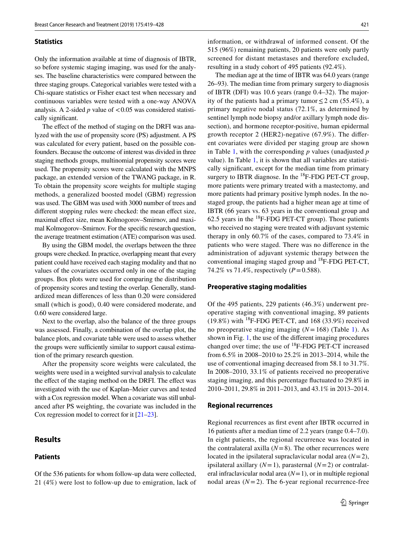#### **Statistics**

Only the information available at time of diagnosis of IBTR, so before systemic staging imaging, was used for the analyses. The baseline characteristics were compared between the three staging groups. Categorical variables were tested with a Chi-square statistics or Fisher exact test when necessary and continuous variables were tested with a one-way ANOVA analysis. A 2-sided  $p$  value of  $\lt 0.05$  was considered statistically signifcant.

The effect of the method of staging on the DRFI was analyzed with the use of propensity score (PS) adjustment. A PS was calculated for every patient, based on the possible confounders. Because the outcome of interest was divided in three staging methods groups, multinomial propensity scores were used. The propensity scores were calculated with the MNPS package, an extended version of the TWANG package, in R. To obtain the propensity score weights for multiple staging methods, a generalized boosted model (GBM) regression was used. The GBM was used with 3000 number of trees and different stopping rules were checked: the mean effect size, maximal efect size, mean Kolmogorov–Smirnov, and maximal Kolmogorov–Smirnov. For the specifc research question, the average treatment estimation (ATE) comparison was used.

By using the GBM model, the overlaps between the three groups were checked. In practice, overlapping meant that every patient could have received each staging modality and that no values of the covariates occurred only in one of the staging groups. Box plots were used for comparing the distribution of propensity scores and testing the overlap. Generally, standardized mean diferences of less than 0.20 were considered small (which is good), 0.40 were considered moderate, and 0.60 were considered large.

Next to the overlap, also the balance of the three groups was assessed. Finally, a combination of the overlap plot, the balance plots, and covariate table were used to assess whether the groups were sufficiently similar to support causal estimation of the primary research question.

After the propensity score weights were calculated, the weights were used in a weighted survival analysis to calculate the efect of the staging method on the DRFI. The efect was investigated with the use of Kaplan–Meier curves and tested with a Cox regression model. When a covariate was still unbalanced after PS weighting, the covariate was included in the Cox regression model to correct for it [[21](#page-8-12)[–23](#page-8-13)].

# **Results**

#### **Patients**

information, or withdrawal of informed consent. Of the 515 (96%) remaining patients, 20 patients were only partly screened for distant metastases and therefore excluded, resulting in a study cohort of 495 patients (92.4%).

The median age at the time of IBTR was 64.0 years (range 26–93). The median time from primary surgery to diagnosis of IBTR (DFI) was 10.6 years (range 0.4–32). The majority of the patients had a primary tumor  $\leq$  2 cm (55.4%), a primary negative nodal status (72.1%, as determined by sentinel lymph node biopsy and/or axillary lymph node dissection), and hormone receptor-positive, human epidermal growth receptor 2 (HER2)-negative (67.9%). The diferent covariates were divided per staging group are shown in Table [1,](#page-3-0) with the corresponding *p* values (unadjusted *p* value). In Table [1,](#page-3-0) it is shown that all variables are statistically signifcant, except for the median time from primary surgery to IBTR diagnose. In the  ${}^{18}F$ -FDG PET-CT group, more patients were primary treated with a mastectomy, and more patients had primary positive lymph nodes. In the nostaged group, the patients had a higher mean age at time of IBTR (66 years vs. 63 years in the conventional group and 62.5 years in the  ${}^{18}$ F-FDG PET-CT group). Those patients who received no staging were treated with adjuvant systemic therapy in only 60.7% of the cases, compared to 73.4% in patients who were staged. There was no diference in the administration of adjuvant systemic therapy between the conventional imaging staged group and 18F-FDG PET-CT, 74.2% vs 71.4%, respectively (*P*=0.588).

#### **Preoperative staging modalities**

Of the 495 patients, 229 patients (46.3%) underwent preoperative staging with conventional imaging, 89 patients (19.8%) with  $^{18}$ F-FDG PET-CT, and 168 (33.9%) received no preoperative staging imaging (*N*=168) (Table [1\)](#page-3-0). As shown in Fig. [1,](#page-4-0) the use of the diferent imaging procedures changed over time; the use of  $^{18}$ F-FDG PET-CT increased from 6.5% in 2008–2010 to 25.2% in 2013–2014, while the use of conventional imaging decreased from 58.1 to 31.7%. In 2008–2010, 33.1% of patients received no preoperative staging imaging, and this percentage fuctuated to 29.8% in 2010–2011, 29.8% in 2011–2013, and 43.1% in 2013–2014.

## **Regional recurrences**

Regional recurrences as frst event after IBTR occurred in 16 patients after a median time of 2.2 years (range 0.4–7.0). In eight patients, the regional recurrence was located in the contralateral axilla  $(N=8)$ . The other recurrences were located in the ipsilateral supraclavicular nodal area (*N*=2), ipsilateral axillary (*N*=1), parasternal (*N*=2) or contralateral infraclavicular nodal area (*N*=1), or in multiple regional nodal areas  $(N=2)$ . The 6-year regional recurrence-free

Of the 536 patients for whom follow-up data were collected, 21 
$$
(4\%)
$$
 were lost to follow-up due to emigration, lack of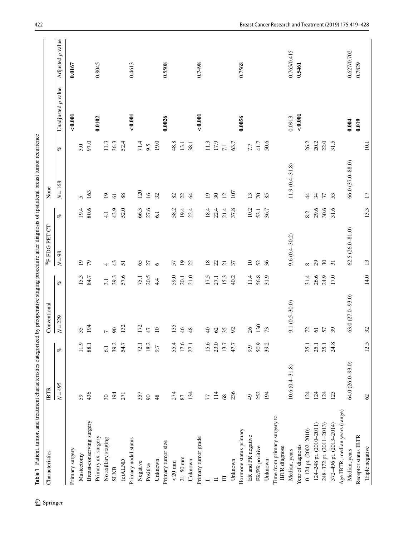<span id="page-3-0"></span>

| Characteristics                               | <b>IBTR</b>         |      | Conventional      |      | <sup>18</sup> F-FDG PET-CT  |               | None               |          |                    |                  |
|-----------------------------------------------|---------------------|------|-------------------|------|-----------------------------|---------------|--------------------|----------|--------------------|------------------|
|                                               | $N = 495$           | æ    | $N = 229$         | $\%$ | $N=98$                      | æ             | $N = 168$          | æ        | Unadjusted p value | Adjusted p value |
| Primary surgery                               |                     |      |                   |      |                             |               |                    |          | ${}_{<0.001}$      | 0.0167           |
| Mastectomy                                    | 59                  | 11.9 | 35                | 15.3 | $\overline{0}$              | 19.4          | 5                  | 3.0      |                    |                  |
| Breast-conserving surgery                     | 436                 | 88.1 | 194               | 84.7 | $\mathcal{L}$               | 80.6          | 163                | 97.0     |                    |                  |
| Primary ax. surgery                           |                     |      |                   |      |                             |               |                    |          | 0.0102             | 0.8045           |
| No axillary staging                           | $\sqrt{30}$         | 6.1  | $\overline{a}$    | 3.1  | 4                           | $\frac{1}{4}$ | $\overline{19}$    | $11.3\,$ |                    |                  |
| <b>SLNB</b>                                   | 194                 | 39.2 | $\infty$          | 39.3 | 43                          | 43.9          | $61$               | 36.3     |                    |                  |
| (c)ALND                                       | 271                 | 54.7 | 132               | 57.6 | 51                          | 52.0          | 88                 | 52.4     |                    |                  |
| Primary nodal status                          |                     |      |                   |      |                             |               |                    |          | 10000              | 0.4613           |
| Negative                                      | 357                 | 72.1 | 172               | 75.1 | 65                          | 66.3          | 120                | 71.4     |                    |                  |
| Positive                                      | $90\,$              | 18.2 | 47                | 20.5 | 27                          | 27.6          | $\overline{16}$    | 9.5      |                    |                  |
| Unknown                                       | 48                  | 9.7  | 10                | 4.4  | $\circ$                     | 6.1           | 32                 | 19.0     |                    |                  |
| Primary tumor size                            |                     |      |                   |      |                             |               |                    |          | 0.0026             | 0.5508           |
| $<20~\mathrm{mm}$                             | 274                 | 55.4 | 135               | 59.0 | 57                          | 58.2          | $82\,$             | 48.8     |                    |                  |
| $21 - 50$ mm                                  | 87                  | 17.6 | 46                | 20.1 | $\overline{19}$             | 19.4          | 22                 | 13.1     |                    |                  |
| Unknown                                       | 134                 | 27.1 | 48                | 21.0 | $\overline{2}$              | 22.4          | $\mathcal{Z}$      | 38.1     |                    |                  |
| Primary tumor grade                           |                     |      |                   |      |                             |               |                    |          | 0.001              | 0.7498           |
| $\overline{a}$                                | 77                  | 15.6 | $\overline{4}$    | 17.5 | $\overline{18}$             | 18.4          | $\overline{0}$     | 11.3     |                    |                  |
| $\Box$                                        | 114                 | 23.0 | 62                | 27.1 | $\mathfrak{L}$              | 22.4          | $30\,$             | 17.9     |                    |                  |
| $\equiv$                                      | 68                  | 13.7 | 35                | 15.3 | $\overline{c}$              | 21.4          | $\overline{2}$     | 7.1      |                    |                  |
| Unknown                                       | 236                 | 47.7 | $\mathcal{S}$     | 40.2 | 57                          | 37.8          | 107                | 63.7     |                    |                  |
| Hormone status primary                        |                     |      |                   |      |                             |               |                    |          | 0.0056             | 0.7568           |
| ER and PR negative                            | $\frac{4}{9}$       | 9.9  | 26                | 11.4 | $\overline{10}$             | 10.2          | 13                 | 7.7      |                    |                  |
| ER/PR positive                                | 252                 | 50.9 | 130               | 56.8 | 52                          | 53.1          | $\mathcal{L}$      | 41.7     |                    |                  |
| Unknown                                       | 194                 | 39.2 | 73                | 31.9 | 36                          | 36.7          | 85                 | 50.6     |                    |                  |
| Time from primary surgery to<br>IBTR diagnose |                     |      |                   |      |                             |               |                    |          |                    |                  |
| Median, years                                 | $10.6(0.4 - 31.8)$  |      | $9.1(0.5 - 30.0)$ |      | $9.6(0.4 - 30.2)$           |               | $11.9(0.4 - 31.8)$ |          | 0.0913             | 0.765/0.415      |
| Year of diagnosis                             |                     |      |                   |      |                             |               |                    |          | ${}_{<0.001}$      | 0.5461           |
| $0 - 124$ pt. $(2002 - 2010)$                 | 124                 | 25.1 | 72                | 31.4 | $\infty$                    | 8.2           | $\ddot{4}$         | 26.2     |                    |                  |
| 124-248 pt. (2010-2011)                       | 124                 | 25.1 | $\overline{6}$    | 26.6 | $\mathcal{L}^{\mathcal{O}}$ | 29.6          | 34                 | 20.2     |                    |                  |
| 248-372 pt. (2011-2013)                       | 124                 | 25.1 | 57                | 24.9 | $30\,$                      | 30.6          | 37                 | 22.0     |                    |                  |
| 372-496 pt. (2013-2014)                       | 123                 | 24.8 | $\mathfrak{L}$    | 17.0 | $\overline{31}$             | 31.6          | 53                 | 31.5     |                    |                  |
| Age IBTR, median years (range)                |                     |      |                   |      |                             |               |                    |          |                    |                  |
| Median, years                                 | $64.0(26.0 - 93.0)$ |      | 63.0 (27.0-93.0)  |      | $62.5(26.0-81.0)$           |               | 66.0 (37.0-88.0)   |          | 0.004              | 0.627/0.702      |
| Receptor status IBTR                          |                     |      |                   |      |                             |               |                    |          | 0.019              | 0.7829           |
| Triple negative                               | $\mathcal{O}$       | 12.5 | 32                | 14.0 | 13                          | 13.3          | $\overline{17}$    | $10.1\,$ |                    |                  |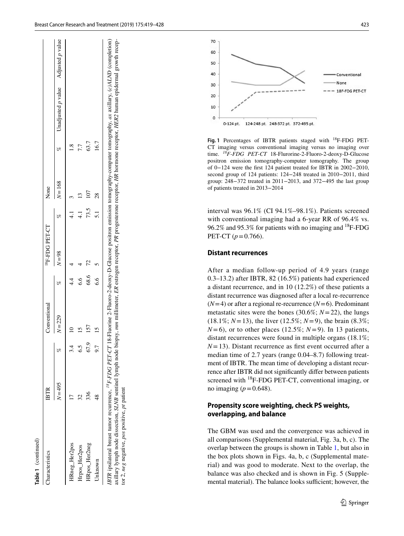| ۲ |
|---|
|   |
|   |
|   |
|   |
|   |
|   |

|                                   |                    |          |                   |         | 423<br>Breast Cancer Research and Treatment (2019) 175:419-428                                                                                                                                                                                                                                        |
|-----------------------------------|--------------------|----------|-------------------|---------|-------------------------------------------------------------------------------------------------------------------------------------------------------------------------------------------------------------------------------------------------------------------------------------------------------|
|                                   | Adjusted p value   |          |                   |         | 70                                                                                                                                                                                                                                                                                                    |
|                                   |                    |          |                   |         | 60<br>50                                                                                                                                                                                                                                                                                              |
|                                   |                    |          |                   |         | 40<br>Conventional                                                                                                                                                                                                                                                                                    |
|                                   |                    |          |                   |         | None<br>30                                                                                                                                                                                                                                                                                            |
|                                   |                    |          |                   |         | 18F-FDG PET-CT<br>20                                                                                                                                                                                                                                                                                  |
|                                   |                    |          |                   |         |                                                                                                                                                                                                                                                                                                       |
|                                   |                    |          |                   |         | 10                                                                                                                                                                                                                                                                                                    |
|                                   | Unadjusted p value |          |                   |         | 0<br>0-124 pt. 124-248 pt. 248-372 pt. 372-495 pt.                                                                                                                                                                                                                                                    |
|                                   |                    |          |                   |         | Fig. 1 Percentages of IBTR patients staged with <sup>18</sup> F-FDG PET-                                                                                                                                                                                                                              |
|                                   | æ                  | 7.7      | 63.7              | 16.7    | CT imaging versus conventional imaging versus no imaging over                                                                                                                                                                                                                                         |
|                                   |                    |          |                   |         | time. <sup>18</sup> F-FDG PET-CT 18-Flurorine-2-Fluoro-2-deoxy-D-Glucose<br>positron emission tomography-computer tomography. The group                                                                                                                                                               |
|                                   |                    |          |                   |         | of $0-124$ were the first 124 patient treated for IBTR in 2002-2010,                                                                                                                                                                                                                                  |
|                                   |                    |          |                   |         | second group of 124 patients: 124-248 treated in 2010-2011, third<br>group: 248-372 treated in 2011-2013, and 372-495 the last group                                                                                                                                                                  |
|                                   | $N = 168$          | $\omega$ | 107               | 28      | tomography-computer tomography, ax axillary, (c)ALND (completion)<br>of patients treated in 2013-2014                                                                                                                                                                                                 |
|                                   |                    |          |                   |         | m millimeter, ER estrogen receptor, PR progesterone receptor, HR hormone receptor, HER2 human epidermal growth recep-                                                                                                                                                                                 |
| æ                                 |                    |          | $73.5$<br>5.1     |         | interval was 96.1% (CI 94.1%-98.1%). Patients screened                                                                                                                                                                                                                                                |
|                                   |                    |          |                   |         | with conventional imaging had a 6-year RR of 96.4% vs.<br>96.2% and 95.3% for patients with no imaging and <sup>18</sup> F-FDG                                                                                                                                                                        |
|                                   |                    |          |                   |         | PET-CT $(p=0.766)$ .                                                                                                                                                                                                                                                                                  |
|                                   |                    |          |                   |         |                                                                                                                                                                                                                                                                                                       |
| $N = 98$                          |                    |          |                   |         | <b>Distant recurrences</b>                                                                                                                                                                                                                                                                            |
|                                   |                    |          |                   |         | After a median follow-up period of 4.9 years (range                                                                                                                                                                                                                                                   |
| æ                                 |                    |          | 68.6              | 6.6     | 0.3-13.2) after IBTR, 82 (16.5%) patients had experienced                                                                                                                                                                                                                                             |
|                                   |                    |          |                   |         | a distant recurrence, and in 10 $(12.2\%)$ of these patients a                                                                                                                                                                                                                                        |
|                                   |                    |          |                   |         | distant recurrence was diagnosed after a local re-recurrence<br>$(N=4)$ or after a regional re-recurrence $(N=6)$ . Predominant                                                                                                                                                                       |
|                                   |                    |          |                   |         | metastatic sites were the bones (30.6%; $N = 22$ ), the lungs                                                                                                                                                                                                                                         |
| $N = 229$                         |                    |          |                   |         | $(18.1\%; N=13)$ , the liver $(12.5\%; N=9)$ , the brain $(8.3\%;$                                                                                                                                                                                                                                    |
| $\overline{10}$                   |                    |          | $\frac{5}{12}$ is |         | $N=6$ ), or to other places (12.5%; $N=9$ ). In 13 patients,                                                                                                                                                                                                                                          |
|                                   |                    |          |                   |         | distant recurrences were found in multiple organs (18.1%;                                                                                                                                                                                                                                             |
| K                                 |                    |          | 67.9              |         | $N=13$ ). Distant recurrence as first event occurred after a<br>median time of 2.7 years (range 0.04–8.7) following treat-                                                                                                                                                                            |
|                                   |                    |          |                   |         | ment of IBTR. The mean time of developing a distant recur-                                                                                                                                                                                                                                            |
|                                   |                    |          |                   |         | rence after IBTR did not significantly differ between patients                                                                                                                                                                                                                                        |
|                                   |                    |          |                   |         | screened with $^{18}$ F-FDG PET-CT, conventional imaging, or                                                                                                                                                                                                                                          |
| $N = 495$<br>$17$ $3, 56$<br>$48$ |                    |          |                   |         | no imaging ( $p = 0.648$ ).                                                                                                                                                                                                                                                                           |
|                                   |                    |          |                   |         | IBTR ipsilateral breast tumor recurrence, <sup>18</sup> F-FDG PET-CT 18-Fluorine 2-Fluoro-2-deoxy-D-Glucose positron emission<br>axillary lymph node dissection, SLNB sentinel lymph node biopsy, m<br>tor 2, neg negative, pos positive, pt patient<br>Propensity score weighting, check PS weights, |
|                                   |                    |          |                   |         | overlapping, and balance                                                                                                                                                                                                                                                                              |
|                                   |                    |          |                   |         | The GBM was used and the convergence was achieved in                                                                                                                                                                                                                                                  |
|                                   |                    |          |                   |         | all comparisons (Supplemental material, Fig. 3a, b, c). The                                                                                                                                                                                                                                           |
| Hrpos_Her2pos                     |                    |          |                   |         | overlap between the groups is shown in Table 1, but also in                                                                                                                                                                                                                                           |
|                                   |                    |          |                   |         | the box plots shown in Figs. 4a, b, c (Supplemental mate-<br>rial) and was good to moderate. Next to the overlap, the                                                                                                                                                                                 |
| HRneg_Her2pos                     |                    |          | HRpos_Her2neg     | Unknown | balance was also checked and is shown in Fig. 5 (Supple-                                                                                                                                                                                                                                              |
|                                   |                    |          |                   |         | mental material). The balance looks sufficient; however, the                                                                                                                                                                                                                                          |



<span id="page-4-0"></span>**Fig. 1** Percentages of IBTR patients staged with 18F-FDG PET-CT imaging versus conventional imaging versus no imaging over time. *18F*-*FDG PET*-*CT* 18-Flurorine-2-Fluoro-2-deoxy-D-Glucose positron emission tomography-computer tomography. The group of 0−124 were the frst 124 patient treated for IBTR in 2002−2010, second group of 124 patients: 124−248 treated in 2010−2011, third group: 248−372 treated in 2011−2013, and 372−495 the last group of patients treated in 2013−2014

## **Distant recurrences**

# **Propensity score weighting, check PS weights, overlapping, and balance**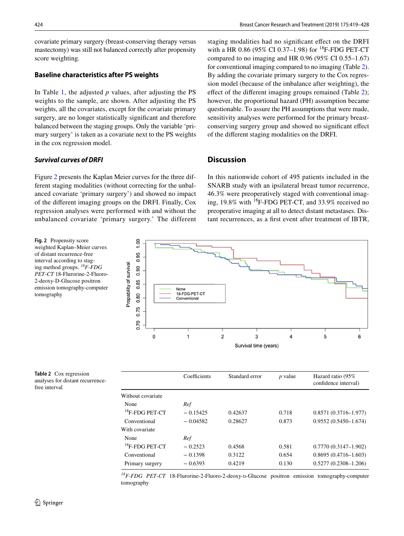covariate primary surgery (breast-conserving therapy versus mastectomy) was still not balanced correctly after propensity score weighting.

# **Baseline characteristics after PS weights**

In Table [1](#page-3-0), the adjusted *p* values, after adjusting the PS weights to the sample, are shown. After adjusting the PS weights, all the covariates, except for the covariate primary surgery, are no longer statistically signifcant and therefore balanced between the staging groups. Only the variable 'primary surgery' is taken as a covariate next to the PS weights in the cox regression model.

# *Survival curves of DRFI*

<span id="page-5-0"></span>**Fig. 2** Propensity score weighted Kaplan–Meier curves of distant recurrence-free interval according to staging method groups. *18F*-*FDG PET*-*CT* 18-Flurorine-2-Fluoro-2-deoxy-D-Glucose positron emission tomography-computer

tomography

Figure [2](#page-5-0) presents the Kaplan Meier curves for the three different staging modalities (without correcting for the unbalanced covariate 'primary surgery') and showed no impact of the diferent imaging groups on the DRFI. Finally, Cox regression analyses were performed with and without the unbalanced covariate 'primary surgery.' The different staging modalities had no signifcant efect on the DRFI with a HR 0.86 (95% CI 0.37–1.98) for  $^{18}$ F-FDG PET-CT compared to no imaging and HR 0.96 (95% CI 0.55–1.67) for conventional imaging compared to no imaging (Table [2](#page-5-1)). By adding the covariate primary surgery to the Cox regression model (because of the imbalance after weighting), the effect of the different imaging groups remained (Table [2](#page-5-1)); however, the proportional hazard (PH) assumption became questionable. To assure the PH assumptions that were made, sensitivity analyses were performed for the primary breastconserving surgery group and showed no signifcant efect of the diferent staging modalities on the DRFI.

# **Discussion**

In this nationwide cohort of 495 patients included in the SNARB study with an ipsilateral breast tumor recurrence, 46.3% were preoperatively staged with conventional imaging, 19.8% with 18F-FDG PET-CT, and 33.9% received no preoperative imaging at all to detect distant metastases. Distant recurrences, as a frst event after treatment of IBTR,



<span id="page-5-1"></span>**Table 2** Cox regression analyses for distant recurrencefree interval

|                      | Coefficients | Standard error | $p$ value | Hazard ratio (95%<br>confidence interval) |
|----------------------|--------------|----------------|-----------|-------------------------------------------|
| Without covariate    |              |                |           |                                           |
| None                 | Ref          |                |           |                                           |
| $^{18}$ F-FDG PET-CT | $-0.15425$   | 0.42637        | 0.718     | $0.8571(0.3716 - 1.977)$                  |
| Conventional         | $-0.04582$   | 0.28627        | 0.873     | $0.9552(0.5450 - 1.674)$                  |
| With covariate       |              |                |           |                                           |
| None                 | Ref          |                |           |                                           |
| $^{18}$ F-FDG PET-CT | $-0.2523$    | 0.4568         | 0.581     | $0.7770(0.3147 - 1.902)$                  |
| Conventional         | $-0.1398$    | 0.3122         | 0.654     | $0.8695(0.4716 - 1.603)$                  |
| Primary surgery      | $-0.6393$    | 0.4219         | 0.130     | $0.5277(0.2308 - 1.206)$                  |

<sup>18</sup>F-FDG PET-CT 18-Flurorine-2-Fluoro-2-deoxy-D-Glucose positron emission tomography-computer tomography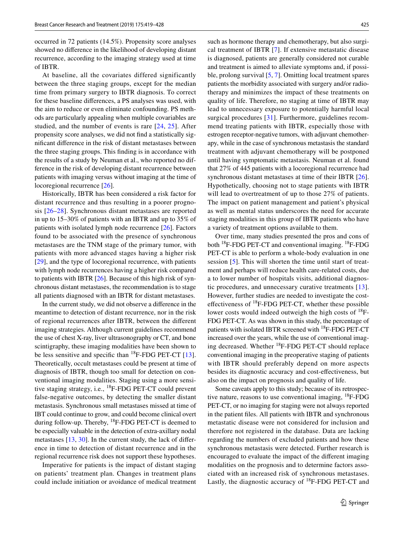occurred in 72 patients (14.5%). Propensity score analyses showed no diference in the likelihood of developing distant recurrence, according to the imaging strategy used at time of IBTR.

At baseline, all the covariates differed significantly between the three staging groups, except for the median time from primary surgery to IBTR diagnosis. To correct for these baseline diferences, a PS analyses was used, with the aim to reduce or even eliminate confounding. PS methods are particularly appealing when multiple covariables are studied, and the number of events is rare [[24](#page-8-14), [25\]](#page-8-15). After propensity score analyses, we did not fnd a statistically signifcant diference in the risk of distant metastases between the three staging groups. This fnding is in accordance with the results of a study by Neuman et al., who reported no difference in the risk of developing distant recurrence between patients with imaging versus without imaging at the time of locoregional recurrence [[26\]](#page-8-16).

Historically, IBTR has been considered a risk factor for distant recurrence and thus resulting in a poorer prognosis [[26–](#page-8-16)[28](#page-8-17)]. Synchronous distant metastases are reported in up to 15–30% of patients with an IBTR and up to 35% of patients with isolated lymph node recurrence [[26\]](#page-8-16). Factors found to be associated with the presence of synchronous metastases are the TNM stage of the primary tumor, with patients with more advanced stages having a higher risk [\[29\]](#page-9-0), and the type of locoregional recurrence, with patients with lymph node recurrences having a higher risk compared to patients with IBTR [[26\]](#page-8-16). Because of this high risk of synchronous distant metastases, the recommendation is to stage all patients diagnosed with an IBTR for distant metastases.

In the current study, we did not observe a diference in the meantime to detection of distant recurrence, nor in the risk of regional recurrences after IBTR, between the diferent imaging strategies. Although current guidelines recommend the use of chest X-ray, liver ultrasonography or CT, and bone scintigraphy, these imaging modalities have been shown to be less sensitive and specific than  $^{18}$ F-FDG PET-CT [[13](#page-8-4)]. Theoretically, occult metastases could be present at time of diagnosis of IBTR, though too small for detection on conventional imaging modalities. Staging using a more sensitive staging strategy, i.e., 18F-FDG PET-CT could prevent false-negative outcomes, by detecting the smaller distant metastasis. Synchronous small metastases missed at time of IBT could continue to grow, and could become clinical overt during follow-up. Thereby,  ${}^{18}F$ -FDG PET-CT is deemed to be especially valuable in the detection of extra-axillary nodal metastases [\[13](#page-8-4), [30\]](#page-9-1). In the current study, the lack of diference in time to detection of distant recurrence and in the regional recurrence risk does not support these hypotheses.

Imperative for patients is the impact of distant staging on patients' treatment plan. Changes in treatment plans could include initiation or avoidance of medical treatment such as hormone therapy and chemotherapy, but also surgical treatment of IBTR [\[7](#page-8-3)]. If extensive metastatic disease is diagnosed, patients are generally considered not curable and treatment is aimed to alleviate symptoms and, if possible, prolong survival [\[5](#page-7-3), [7\]](#page-8-3). Omitting local treatment spares patients the morbidity associated with surgery and/or radiotherapy and minimizes the impact of these treatments on quality of life. Therefore, no staging at time of IBTR may lead to unnecessary exposure to potentially harmful local surgical procedures [[31](#page-9-2)]. Furthermore, guidelines recommend treating patients with IBTR, especially those with estrogen receptor-negative tumors, with adjuvant chemotherapy, while in the case of synchronous metastasis the standard treatment with adjuvant chemotherapy will be postponed until having symptomatic metastasis. Neuman et al. found that 27% of 445 patients with a locoregional recurrence had synchronous distant metastases at time of their IBTR [\[26](#page-8-16)]. Hypothetically, choosing not to stage patients with IBTR will lead to overtreatment of up to those 27% of patients. The impact on patient management and patient's physical as well as mental status underscores the need for accurate staging modalities in this group of IBTR patients who have a variety of treatment options available to them.

Over time, many studies presented the pros and cons of both  $^{18}$ F-FDG PET-CT and conventional imaging.  $^{18}$ F-FDG PET-CT is able to perform a whole-body evaluation in one session [\[5\]](#page-7-3). This will shorten the time until start of treatment and perhaps will reduce health care-related costs, due a to lower number of hospitals visits, additional diagnostic procedures, and unnecessary curative treatments [[13](#page-8-4)]. However, further studies are needed to investigate the costeffectiveness of  $^{18}$ F-FDG PET-CT, whether these possible lower costs would indeed outweigh the high costs of  $^{18}F-$ FDG PET-CT. As was shown in this study, the percentage of patients with isolated IBTR screened with <sup>18</sup>F-FDG PET-CT increased over the years, while the use of conventional imaging decreased. Whether <sup>18</sup>F-FDG PET-CT should replace conventional imaging in the preoperative staging of patients with IBTR should preferably depend on more aspects besides its diagnostic accuracy and cost-efectiveness, but also on the impact on prognosis and quality of life.

Some caveats apply to this study; because of its retrospective nature, reasons to use conventional imaging, <sup>18</sup>F-FDG PET-CT, or no imaging for staging were not always reported in the patient fles. All patients with IBTR and synchronous metastatic disease were not considered for inclusion and therefore not registered in the database. Data are lacking regarding the numbers of excluded patients and how these synchronous metastasis were detected. Further research is encouraged to evaluate the impact of the diferent imaging modalities on the prognosis and to determine factors associated with an increased risk of synchronous metastases. Lastly, the diagnostic accuracy of  $^{18}$ F-FDG PET-CT and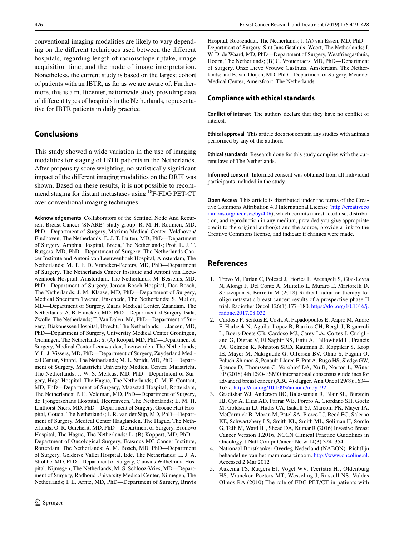conventional imaging modalities are likely to vary depending on the diferent techniques used between the diferent hospitals, regarding length of radioisotope uptake, image acquisition time, and the mode of image interpretation. Nonetheless, the current study is based on the largest cohort of patients with an IBTR, as far as we are aware of. Furthermore, this is a multicenter, nationwide study providing data of diferent types of hospitals in the Netherlands, representative for IBTR patients in daily practice.

# **Conclusions**

This study showed a wide variation in the use of imaging modalities for staging of IBTR patients in the Netherlands. After propensity score weighting, no statistically signifcant impact of the diferent imaging modalities on the DRFI was shown. Based on these results, it is not possible to recommend staging for distant metastases using <sup>18</sup>F-FDG PET-CT over conventional imaging techniques.

**Acknowledgements** Collaborators of the Sentinel Node And Recurrent Breast Cancer (SNARB) study group: R. M. H. Roumen, MD, PhD—Department of Surgery, Máxima Medical Center, Veldhoven/ Eindhoven, The Netherlands; E. J. T. Luiten, MD, PhD—Department of Surgery, Amphia Hospital, Breda, The Netherlands; Prof. E. J. T. Rutgers, MD, PhD—Department of Surgery, The Netherlands Cancer Institute and Antoni van Leeuwenhoek Hospital, Amsterdam, The Netherlands; M. T. F. D. Vrancken-Peeters, MD, PhD—Department of Surgery, The Netherlands Cancer Institute and Antoni van Leeuwenhoek Hospital, Amsterdam, The Netherlands; M. Bessems, MD, PhD—Department of Surgery, Jeroen Bosch Hospital, Den Bosch, The Netherlands; J. M. Klaase, MD, PhD—Department of Surgery, Medical Spectrum Twente, Enschede, The Netherlands; S. Muller, MD—Department of Surgery, Zaans Medical Center, Zaandam, The Netherlands; A. B. Francken, MD, PhD—Department of Surgery, Isala, Zwolle, The Netherlands; T. Van Dalen, Md, PhD—Department of Surgery, Diakonessen Hospital, Utrecht, The Netherlands; L. Jansen, MD, PhD—Department of Surgery, University Medical Center Groningen, Groningen, The Netherlands; S. (A) Koopal, MD, PhD—Department of Surgery, Medical Center Leeuwarden, Leeuwarden, The Netherlands; Y. L. J. Vissers, MD, PhD—Department of Surgery, Zuyderland Medical Center, Sittard, The Netherlands; M. L. Smidt, MD, PhD—Department of Surgery, Maastricht University Medical Center, Maastricht, The Netherlands; J. W. S. Merkus, MD, PhD—Department of Surgery, Haga Hospital, The Hague, The Netherlands; C. M. E. Contant, MD, PhD—Department of Surgery, Maasstad Hospital, Rotterdam, The Netherlands; P. H. Veldman, MD, PhD—Department of Surgery, de Tjongerschans Hospital, Heerenveen, The Netherlands; E. M. H. Linthorst-Niers, MD, PhD—Department of Surgery, Groene Hart Hospital, Gouda, The Netherlands; J. R. van der Sijp, MD, PhD—Department of Surgery, Medical Center Haaglanden, The Hague, The Netherlands; O. R. Guicherit, MD, PhD—Department of Surgery, Bronovo Hospital, The Hague, The Netherlands; L. (B) Koppert, MD, PhD— Department of Oncological Surgery, Erasmus MC Cancer Institute, Rotterdam, The Netherlands; A. M. Bosch, MD, PhD—Department of Surgery, Gelderse Vallei Hospital, Ede, The Netherlands; L. J. A. Strobbe, MD, PhD—Department of Surgery, Canisius Wilhelmina Hospital, Nijmegen, The Netherlands; M. S. Schlooz-Vries, MD—Department of Surgery, Radboud University Medical Center, Nijmegen, The Netherlands; I. E. Arntz, MD, PhD—Department of Surgery, Bravis

Hospital, Roosendaal, The Netherlands; J. (A) van Essen, MD, PhD— Department of Surgery, Sint Jans Gasthuis, Weert, The Netherlands; J. W. D. de Waard, MD, PhD—Department of Surgery, Westfriesgasthuis, Hoorn, The Netherlands; (B) C. Vrouenraets, MD, PhD—Department of Surgery, Onze Lieve Vrouwe Gasthuis, Amsterdam, The Netherlands; and B. van Ooijen, MD, PhD—Department of Surgery, Meander Medical Center, Amersfoort, The Netherlands.

#### **Compliance with ethical standards**

**Conflict of interest** The authors declare that they have no confict of interest.

**Ethical approval** This article does not contain any studies with animals performed by any of the authors.

**Ethical standards** Research done for this study complies with the current laws of The Netherlands.

**Informed consent** Informed consent was obtained from all individual participants included in the study.

**Open Access** This article is distributed under the terms of the Creative Commons Attribution 4.0 International License ([http://creativeco](http://creativecommons.org/licenses/by/4.0/) [mmons.org/licenses/by/4.0/](http://creativecommons.org/licenses/by/4.0/)), which permits unrestricted use, distribution, and reproduction in any medium, provided you give appropriate credit to the original author(s) and the source, provide a link to the Creative Commons license, and indicate if changes were made.

# **References**

- <span id="page-7-0"></span>1. Trovo M, Furlan C, Polesel J, Fiorica F, Arcangeli S, Giaj-Levra N, Alongi F, Del Conte A, Militello L, Muraro E, Martorelli D, Spazzapan S, Berretta M (2018) Radical radiation therapy for oligometastatic breast cancer: results of a prospective phase II trial. Radiother Oncol 126(1):177–180. [https://doi.org/10.1016/j.](https://doi.org/10.1016/j.radonc.2017.08.032) [radonc.2017.08.032](https://doi.org/10.1016/j.radonc.2017.08.032)
- <span id="page-7-1"></span>2. Cardoso F, Senkus E, Costa A, Papadopoulos E, Aapro M, Andre F, Harbeck N, Aguilar Lopez B, Barrios CH, Bergh J, Biganzoli L, Boers-Doets CB, Cardoso MJ, Carey LA, Cortes J, Curigliano G, Dieras V, El Saghir NS, Eniu A, Fallowfeld L, Francis PA, Gelmon K, Johnston SRD, Kaufman B, Koppikar S, Krop IE, Mayer M, Nakigudde G, Ofersen BV, Ohno S, Pagani O, Paluch-Shimon S, Penault-Llorca F, Prat A, Rugo HS, Sledge GW, Spence D, Thomssen C, Vorobiof DA, Xu B, Norton L, Winer EP (2018) 4th ESO-ESMO international consensus guidelines for advanced breast cancer (ABC 4) dagger. Ann Oncol 29(8):1634– 1657. <https://doi.org/10.1093/annonc/mdy192>
- 3. Gradishar WJ, Anderson BO, Balassanian R, Blair SL, Burstein HJ, Cyr A, Elias AD, Farrar WB, Forero A, Giordano SH, Goetz M, Goldstein LJ, Hudis CA, Isakoff SJ, Marcom PK, Mayer IA, McCormick B, Moran M, Patel SA, Pierce LJ, Reed EC, Salerno KE, Schwartzberg LS, Smith KL, Smith ML, Soliman H, Somlo G, Telli M, Ward JH, Shead DA, Kumar R (2016) Invasive Breast Cancer Version 1.2016, NCCN Clinical Practice Guidelines in Oncology. J Natl Compr Cancer Netw 14(3):324–354
- <span id="page-7-2"></span>4. Nationaal Borstkanker Overleg Nederland (NABON). Richtlijn behandeling van het mammacarcinoom. <http://www.oncoline.nl>. Accessed 2 Mar 2012
- <span id="page-7-3"></span>5. Aukema TS, Rutgers EJ, Vogel WV, Teertstra HJ, Oldenburg HS, Vrancken Peeters MT, Wesseling J, Russell NS, Valdes Olmos RA (2010) The role of FDG PET/CT in patients with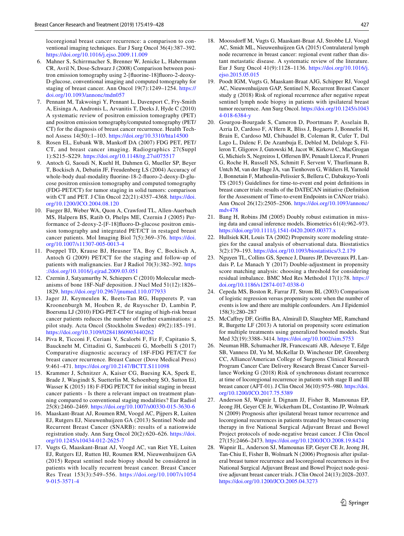locoregional breast cancer recurrence: a comparison to conventional imaging techniques. Eur J Surg Oncol 36(4):387–392. <https://doi.org/10.1016/j.ejso.2009.11.009>

- 6. Mahner S, Schirrmacher S, Brenner W, Jenicke L, Habermann CR, Avril N, Dose-Schwarz J (2008) Comparison between positron emission tomography using 2-[fuorine-18]fuoro-2-deoxy-D-glucose, conventional imaging and computed tomography for staging of breast cancer. Ann Oncol 19(7):1249–1254. [https://](https://doi.org/10.1093/annonc/mdn057) [doi.org/10.1093/annonc/mdn057](https://doi.org/10.1093/annonc/mdn057)
- <span id="page-8-3"></span>7. Pennant M, Takwoingi Y, Pennant L, Davenport C, Fry-Smith A, Eisinga A, Andronis L, Arvanitis T, Deeks J, Hyde C (2010) A systematic review of positron emission tomography (PET) and positron emission tomography/computed tomography (PET/ CT) for the diagnosis of breast cancer recurrence. Health Technol Assess 14(50):1–103. <https://doi.org/10.3310/hta14500>
- <span id="page-8-0"></span>8. Rosen EL, Eubank WB, Mankoff DA (2007) FDG PET, PET/ CT, and breast cancer imaging. Radiographics 27(Suppl 1):S215–S229.<https://doi.org/10.1148/rg.27si075517>
- <span id="page-8-1"></span>9. Antoch G, Saoudi N, Kuehl H, Dahmen G, Mueller SP, Beyer T, Bockisch A, Debatin JF, Freudenberg LS (2004) Accuracy of whole-body dual-modality fuorine-18-2-fuoro-2-deoxy-D-glucose positron emission tomography and computed tomography (FDG-PET/CT) for tumor staging in solid tumors: comparison with CT and PET. J Clin Oncol 22(21):4357–4368. [https://doi.](https://doi.org/10.1200/JCO.2004.08.120) [org/10.1200/JCO.2004.08.120](https://doi.org/10.1200/JCO.2004.08.120)
- 10. Fueger BJ, Weber WA, Quon A, Crawford TL, Allen-Auerbach MS, Halpern BS, Ratib O, Phelps ME, Czernin J (2005) Performance of 2-deoxy-2-[F-18]fuoro-D-glucose positron emission tomography and integrated PET/CT in restaged breast cancer patients. Mol Imaging Biol 7(5):369–376. [https://doi.](https://doi.org/10.1007/s11307-005-0013-4) [org/10.1007/s11307-005-0013-4](https://doi.org/10.1007/s11307-005-0013-4)
- 11. Poeppel TD, Krause BJ, Heusner TA, Boy C, Bockisch A, Antoch G (2009) PET/CT for the staging and follow-up of patients with malignancies. Eur J Radiol 70(3):382–392. [https](https://doi.org/10.1016/j.ejrad.2009.03.051) [://doi.org/10.1016/j.ejrad.2009.03.051](https://doi.org/10.1016/j.ejrad.2009.03.051)
- <span id="page-8-2"></span>12. Czernin J, Satyamurthy N, Schiepers C (2010) Molecular mechanisms of bone 18F-NaF deposition. J Nucl Med 51(12):1826– 1829.<https://doi.org/10.2967/jnumed.110.077933>
- <span id="page-8-4"></span>13. Jager JJ, Keymeulen K, Beets-Tan RG, Hupperets P, van Kroonenburgh M, Houben R, de Ruysscher D, Lambin P, Boersma LJ (2010) FDG-PET-CT for staging of high-risk breast cancer patients reduces the number of further examinations: a pilot study. Acta Oncol (Stockholm Sweden) 49(2):185–191. <https://doi.org/10.3109/02841860903440262>
- <span id="page-8-5"></span>14. Piva R, Ticconi F, Ceriani V, Scalorbi F, Fiz F, Capitanio S, Bauckneht M, Cittadini G, Sambuceti G, Morbelli S (2017) Comparative diagnostic accuracy of 18F-FDG PET/CT for breast cancer recurrence. Breast Cancer (Dove Medical Press) 9:461–471.<https://doi.org/10.2147/BCTT.S111098>
- <span id="page-8-6"></span>15. Krammer J, Schnitzer A, Kaiser CG, Buesing KA, Sperk E, Brade J, Wasgindt S, Suetterlin M, Schoenberg SO, Sutton EJ, Wasser K (2015) 18) F-FDG PET/CT for initial staging in breast cancer patients - Is there a relevant impact on treatment planning compared to conventional staging modalities? Eur Radiol 25(8):2460–2469. <https://doi.org/10.1007/s00330-015-3630-6>
- <span id="page-8-7"></span>16. Maaskant-Braat AJ, Roumen RM, Voogd AC, Pijpers R, Luiten EJ, Rutgers EJ, Nieuwenhuijzen GA (2013) Sentinel Node and Recurrent Breast Cancer (SNARB): results of a nationwide registration study. Ann Surg Oncol 20(2):620–626. [https://doi.](https://doi.org/10.1245/s10434-012-2625-7) [org/10.1245/s10434-012-2625-7](https://doi.org/10.1245/s10434-012-2625-7)
- <span id="page-8-8"></span>17. Vugts G, Maaskant-Braat AJ, Voogd AC, van Riet YE, Luiten EJ, Rutgers EJ, Rutten HJ, Roumen RM, Nieuwenhuijzen GA (2015) Repeat sentinel node biopsy should be considered in patients with locally recurrent breast cancer. Breast Cancer Res Treat 153(3):549–556. [https://doi.org/10.1007/s1054](https://doi.org/10.1007/s10549-015-3571-4) [9-015-3571-4](https://doi.org/10.1007/s10549-015-3571-4)
- <span id="page-8-9"></span>18. Moossdorff M, Vugts G, Maaskant-Braat AJ, Strobbe LJ, Voogd AC, Smidt ML, Nieuwenhuijzen GA (2015) Contralateral lymph node recurrence in breast cancer: regional event rather than distant metastatic disease. A systematic review of the literature. Eur J Surg Oncol 41(9):1128–1136. [https://doi.org/10.1016/j.](https://doi.org/10.1016/j.ejso.2015.05.015) [ejso.2015.05.015](https://doi.org/10.1016/j.ejso.2015.05.015)
- <span id="page-8-10"></span>19. Poodt IGM, Vugts G, Maaskant-Braat AJG, Schipper RJ, Voogd AC, Nieuwenhuijzen GAP, Sentinel N, Recurrent Breast Cancer study g (2018) Risk of regional recurrence after negative repeat sentinel lymph node biopsy in patients with ipsilateral breast tumor recurrence. Ann Surg Oncol. [https://doi.org/10.1245/s1043](https://doi.org/10.1245/s10434-018-6384-y) [4-018-6384-y](https://doi.org/10.1245/s10434-018-6384-y)
- <span id="page-8-11"></span>20. Gourgou-Bourgade S, Cameron D, Poortmans P, Asselain B, Azria D, Cardoso F, A'Hern R, Bliss J, Bogaerts J, Bonnefoi H, Brain E, Cardoso MJ, Chibaudel B, Coleman R, Cufer T, Dal Lago L, Dalenc F, De Azambuja E, Debled M, Delaloge S, Filleron T, Gligorov J, Gutowski M, Jacot W, Kirkove C, MacGrogan G, Michiels S, Negreiros I, Ofersen BV, Penault Llorca F, Pruneri G, Roche H, Russell NS, Schmitt F, Servent V, Thurlimann B, Untch M, van der Hage JA, van Tienhoven G, Wildiers H, Yarnold J, Bonnetain F, Mathoulin-Pelissier S, Bellera C, Dabakuyo-Yonli TS (2015) Guidelines for time-to-event end point defnitions in breast cancer trials: results of the DATECAN initiative (Defnition for the Assessment of Time-to-event Endpoints in CANcer trials). Ann Oncol 26(12):2505–2506. [https://doi.org/10.1093/annonc/](https://doi.org/10.1093/annonc/mdv478) [mdv478](https://doi.org/10.1093/annonc/mdv478)
- <span id="page-8-12"></span>21. Bang H, Robins JM (2005) Doubly robust estimation in missing data and causal inference models. Biometrics 61(4):962–973. <https://doi.org/10.1111/j.1541-0420.2005.00377.x>
- 22. Hullsiek KH, Louis TA (2002) Propensity score modeling strategies for the causal analysis of observational data. Biostatistics 3(2):179–193.<https://doi.org/10.1093/biostatistics/3.2.179>
- <span id="page-8-13"></span>23. Nguyen TL, Collins GS, Spence J, Daures JP, Devereaux PJ, Landais P, Le Manach Y (2017) Double-adjustment in propensity score matching analysis: choosing a threshold for considering residual imbalance. BMC Med Res Methodol 17(1):78. [https://](https://doi.org/10.1186/s12874-017-0338-0) [doi.org/10.1186/s12874-017-0338-0](https://doi.org/10.1186/s12874-017-0338-0)
- <span id="page-8-14"></span>24. Cepeda MS, Boston R, Farrar JT, Strom BL (2003) Comparison of logistic regression versus propensity score when the number of events is low and there are multiple confounders. Am J Epidemiol 158(3):280–287
- <span id="page-8-15"></span>25. McCaffrey DF, Griffin BA, Almirall D, Slaughter ME, Ramchand R, Burgette LF (2013) A tutorial on propensity score estimation for multiple treatments using generalized boosted models. Stat Med 32(19):3388–3414.<https://doi.org/10.1002/sim.5753>
- <span id="page-8-16"></span>26. Neuman HB, Schumacher JR, Francescatti AB, Adesoye T, Edge SB, Vanness DJ, Yu M, McKellar D, Winchester DP, Greenberg CC, Alliance/American College of Surgeons Clinical Research Program Cancer Care Delivery Research Breast Cancer Surveillance Working G (2018) Risk of synchronous distant recurrence at time of locoregional recurrence in patients with stage II and III breast cancer (AFT-01). J Clin Oncol 36(10):975–980. [https://doi.](https://doi.org/10.1200/JCO.2017.75.5389) [org/10.1200/JCO.2017.75.5389](https://doi.org/10.1200/JCO.2017.75.5389)
- 27. Anderson SJ, Wapnir I, Dignam JJ, Fisher B, Mamounas EP, Jeong JH, Geyer CE Jr, Wickerham DL, Costantino JP, Wolmark N (2009) Prognosis after ipsilateral breast tumor recurrence and locoregional recurrences in patients treated by breast-conserving therapy in fve National Surgical Adjuvant Breast and Bowel Project protocols of node-negative breast cancer. J Clin Oncol 27(15):2466–2473.<https://doi.org/10.1200/JCO.2008.19.8424>
- <span id="page-8-17"></span>28. Wapnir IL, Anderson SJ, Mamounas EP, Geyer CE Jr, Jeong JH, Tan-Chiu E, Fisher B, Wolmark N (2006) Prognosis after ipsilateral breast tumor recurrence and locoregional recurrences in fve National Surgical Adjuvant Breast and Bowel Project node-positive adjuvant breast cancer trials. J Clin Oncol 24(13):2028–2037. <https://doi.org/10.1200/JCO.2005.04.3273>